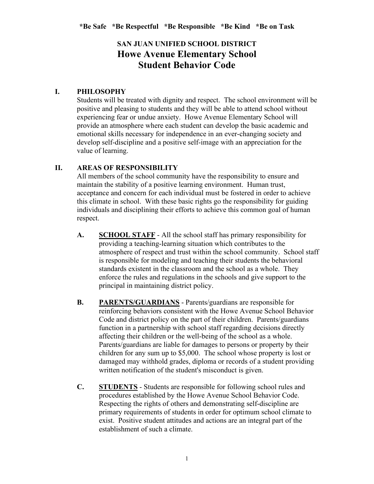## **SAN JUAN UNIFIED SCHOOL DISTRICT Howe Avenue Elementary School Student Behavior Code**

#### **I. PHILOSOPHY**

Students will be treated with dignity and respect. The school environment will be positive and pleasing to students and they will be able to attend school without experiencing fear or undue anxiety. Howe Avenue Elementary School will provide an atmosphere where each student can develop the basic academic and emotional skills necessary for independence in an ever-changing society and develop self-discipline and a positive self-image with an appreciation for the value of learning.

#### **II. AREAS OF RESPONSIBILITY**

All members of the school community have the responsibility to ensure and maintain the stability of a positive learning environment. Human trust, acceptance and concern for each individual must be fostered in order to achieve this climate in school. With these basic rights go the responsibility for guiding individuals and disciplining their efforts to achieve this common goal of human respect.

- **A. SCHOOL STAFF** All the school staff has primary responsibility for providing a teaching-learning situation which contributes to the atmosphere of respect and trust within the school community. School staff is responsible for modeling and teaching their students the behavioral standards existent in the classroom and the school as a whole. They enforce the rules and regulations in the schools and give support to the principal in maintaining district policy.
- **B. PARENTS/GUARDIANS** Parents/guardians are responsible for reinforcing behaviors consistent with the Howe Avenue School Behavior Code and district policy on the part of their children. Parents/guardians function in a partnership with school staff regarding decisions directly affecting their children or the well-being of the school as a whole. Parents/guardians are liable for damages to persons or property by their children for any sum up to \$5,000. The school whose property is lost or damaged may withhold grades, diploma or records of a student providing written notification of the student's misconduct is given.
- **C. STUDENTS** Students are responsible for following school rules and procedures established by the Howe Avenue School Behavior Code. Respecting the rights of others and demonstrating self-discipline are primary requirements of students in order for optimum school climate to exist. Positive student attitudes and actions are an integral part of the establishment of such a climate.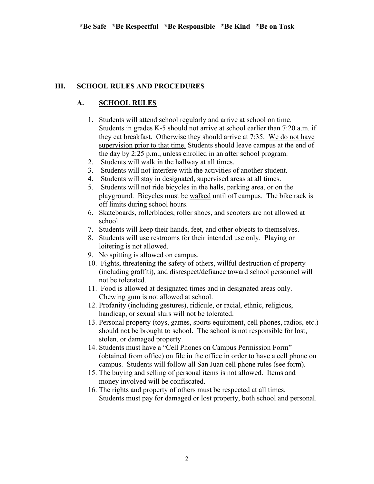#### **III. SCHOOL RULES AND PROCEDURES**

#### **A. SCHOOL RULES**

- 1. Students will attend school regularly and arrive at school on time. Students in grades K-5 should not arrive at school earlier than 7:20 a.m. if they eat breakfast. Otherwise they should arrive at 7:35. We do not have supervision prior to that time. Students should leave campus at the end of the day by 2:25 p.m., unless enrolled in an after school program.
- 2. Students will walk in the hallway at all times.
- 3. Students will not interfere with the activities of another student.
- 4. Students will stay in designated, supervised areas at all times.
- 5. Students will not ride bicycles in the halls, parking area, or on the playground. Bicycles must be walked until off campus. The bike rack is off limits during school hours.
- 6. Skateboards, rollerblades, roller shoes, and scooters are not allowed at school.
- 7. Students will keep their hands, feet, and other objects to themselves.
- 8. Students will use restrooms for their intended use only. Playing or loitering is not allowed.
- 9. No spitting is allowed on campus.
- 10. Fights, threatening the safety of others, willful destruction of property (including graffiti), and disrespect/defiance toward school personnel will not be tolerated.
- 11. Food is allowed at designated times and in designated areas only. Chewing gum is not allowed at school.
- 12. Profanity (including gestures), ridicule, or racial, ethnic, religious, handicap, or sexual slurs will not be tolerated.
- 13. Personal property (toys, games, sports equipment, cell phones, radios, etc.) should not be brought to school. The school is not responsible for lost, stolen, or damaged property.
- 14. Students must have a "Cell Phones on Campus Permission Form" (obtained from office) on file in the office in order to have a cell phone on campus. Students will follow all San Juan cell phone rules (see form).
- 15. The buying and selling of personal items is not allowed. Items and money involved will be confiscated.
- 16. The rights and property of others must be respected at all times. Students must pay for damaged or lost property, both school and personal.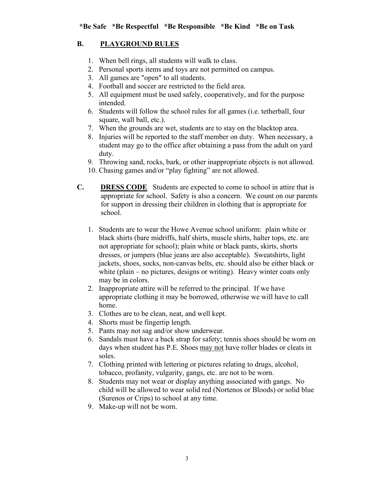## **B. PLAYGROUND RULES**

- 1. When bell rings, all students will walk to class.
- 2. Personal sports items and toys are not permitted on campus.
- 3. All games are "open" to all students.
- 4. Football and soccer are restricted to the field area.
- 5. All equipment must be used safely, cooperatively, and for the purpose intended.
- 6. Students will follow the school rules for all games (i.e. tetherball, four square, wall ball, etc.).
- 7. When the grounds are wet, students are to stay on the blacktop area.
- 8. Injuries will be reported to the staff member on duty. When necessary, a student may go to the office after obtaining a pass from the adult on yard duty.
- 9. Throwing sand, rocks, bark, or other inappropriate objects is not allowed.
- 10. Chasing games and/or "play fighting" are not allowed.
- **C. DRESS CODE** Students are expected to come to school in attire that is appropriate for school. Safety is also a concern. We count on our parents for support in dressing their children in clothing that is appropriate for school.
	- 1. Students are to wear the Howe Avenue school uniform: plain white or black shirts (bare midriffs, half shirts, muscle shirts, halter tops, etc. are not appropriate for school); plain white or black pants, skirts, shorts dresses, or jumpers (blue jeans are also acceptable). Sweatshirts, light jackets, shoes, socks, non-canvas belts, etc. should also be either black or white (plain – no pictures, designs or writing). Heavy winter coats only may be in colors.
	- 2. Inappropriate attire will be referred to the principal. If we have appropriate clothing it may be borrowed, otherwise we will have to call home.
	- 3. Clothes are to be clean, neat, and well kept.
	- 4. Shorts must be fingertip length.
	- 5. Pants may not sag and/or show underwear.
	- 6. Sandals must have a back strap for safety; tennis shoes should be worn on days when student has P.E. Shoes may not have roller blades or cleats in soles.
	- 7. Clothing printed with lettering or pictures relating to drugs, alcohol, tobacco, profanity, vulgarity, gangs, etc. are not to be worn.
	- 8. Students may not wear or display anything associated with gangs. No child will be allowed to wear solid red (Nortenos or Bloods) or solid blue (Surenos or Crips) to school at any time.
	- 9. Make-up will not be worn.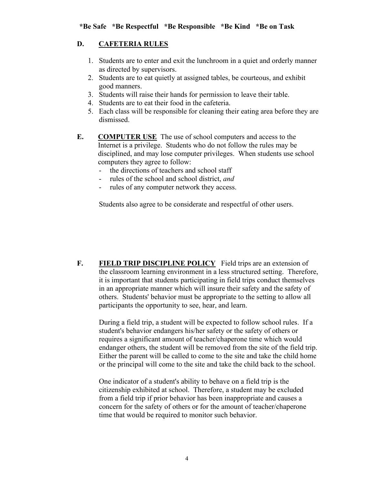## **D. CAFETERIA RULES**

- 1. Students are to enter and exit the lunchroom in a quiet and orderly manner as directed by supervisors.
- 2. Students are to eat quietly at assigned tables, be courteous, and exhibit good manners.
- 3. Students will raise their hands for permission to leave their table.
- 4. Students are to eat their food in the cafeteria.
- 5. Each class will be responsible for cleaning their eating area before they are dismissed.
- **E. COMPUTER USE** The use of school computers and access to the Internet is a privilege. Students who do not follow the rules may be disciplined, and may lose computer privileges. When students use school computers they agree to follow:
	- the directions of teachers and school staff
	- rules of the school and school district, *and*
	- rules of any computer network they access.

Students also agree to be considerate and respectful of other users.

**F. FIELD TRIP DISCIPLINE POLICY** Field trips are an extension of the classroom learning environment in a less structured setting. Therefore, it is important that students participating in field trips conduct themselves in an appropriate manner which will insure their safety and the safety of others. Students' behavior must be appropriate to the setting to allow all participants the opportunity to see, hear, and learn.

 During a field trip, a student will be expected to follow school rules. If a student's behavior endangers his/her safety or the safety of others or requires a significant amount of teacher/chaperone time which would endanger others, the student will be removed from the site of the field trip. Either the parent will be called to come to the site and take the child home or the principal will come to the site and take the child back to the school.

One indicator of a student's ability to behave on a field trip is the citizenship exhibited at school. Therefore, a student may be excluded from a field trip if prior behavior has been inappropriate and causes a concern for the safety of others or for the amount of teacher/chaperone time that would be required to monitor such behavior.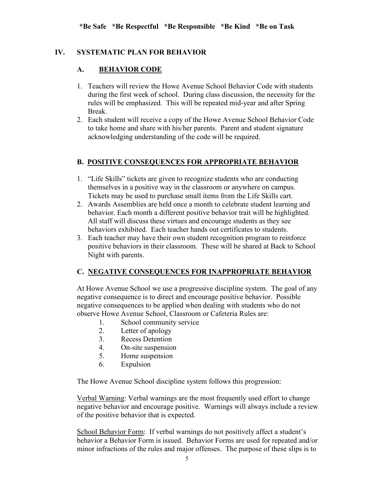#### **IV. SYSTEMATIC PLAN FOR BEHAVIOR**

#### **A. BEHAVIOR CODE**

- 1. Teachers will review the Howe Avenue School Behavior Code with students during the first week of school. During class discussion, the necessity for the rules will be emphasized. This will be repeated mid-year and after Spring Break.
- 2. Each student will receive a copy of the Howe Avenue School Behavior Code to take home and share with his/her parents. Parent and student signature acknowledging understanding of the code will be required.

#### **B. POSITIVE CONSEQUENCES FOR APPROPRIATE BEHAVIOR**

- 1. "Life Skills" tickets are given to recognize students who are conducting themselves in a positive way in the classroom or anywhere on campus. Tickets may be used to purchase small items from the Life Skills cart.
- 2. Awards Assemblies are held once a month to celebrate student learning and behavior. Each month a different positive behavior trait will be highlighted. All staff will discuss these virtues and encourage students as they see behaviors exhibited. Each teacher hands out certificates to students.
- 3. Each teacher may have their own student recognition program to reinforce positive behaviors in their classroom. These will be shared at Back to School Night with parents.

#### **C. NEGATIVE CONSEQUENCES FOR INAPPROPRIATE BEHAVIOR**

At Howe Avenue School we use a progressive discipline system. The goal of any negative consequence is to direct and encourage positive behavior. Possible negative consequences to be applied when dealing with students who do not observe Howe Avenue School, Classroom or Cafeteria Rules are:

- 1. School community service
- 2. Letter of apology
- 3. Recess Detention
- 4. On-site suspension
- 5. Home suspension
- 6. Expulsion

The Howe Avenue School discipline system follows this progression:

Verbal Warning: Verbal warnings are the most frequently used effort to change negative behavior and encourage positive. Warnings will always include a review of the positive behavior that is expected.

School Behavior Form: If verbal warnings do not positively affect a student's behavior a Behavior Form is issued. Behavior Forms are used for repeated and/or minor infractions of the rules and major offenses. The purpose of these slips is to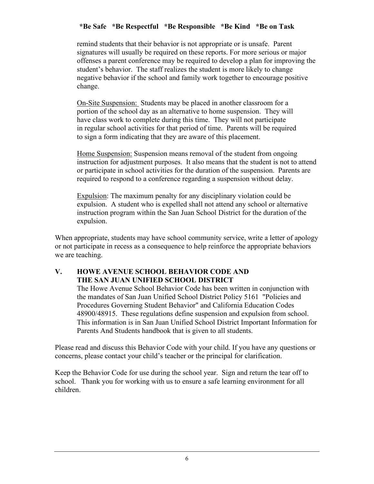### **\*Be Safe \*Be Respectful \*Be Responsible \*Be Kind \*Be on Task**

remind students that their behavior is not appropriate or is unsafe. Parent signatures will usually be required on these reports. For more serious or major offenses a parent conference may be required to develop a plan for improving the student's behavior. The staff realizes the student is more likely to change negative behavior if the school and family work together to encourage positive change.

On-Site Suspension: Students may be placed in another classroom for a portion of the school day as an alternative to home suspension. They will have class work to complete during this time. They will not participate in regular school activities for that period of time. Parents will be required to sign a form indicating that they are aware of this placement.

Home Suspension: Suspension means removal of the student from ongoing instruction for adjustment purposes. It also means that the student is not to attend or participate in school activities for the duration of the suspension. Parents are required to respond to a conference regarding a suspension without delay.

Expulsion: The maximum penalty for any disciplinary violation could be expulsion. A student who is expelled shall not attend any school or alternative instruction program within the San Juan School District for the duration of the expulsion.

When appropriate, students may have school community service, write a letter of apology or not participate in recess as a consequence to help reinforce the appropriate behaviors we are teaching.

#### **V. HOWE AVENUE SCHOOL BEHAVIOR CODE AND THE SAN JUAN UNIFIED SCHOOL DISTRICT**

The Howe Avenue School Behavior Code has been written in conjunction with the mandates of San Juan Unified School District Policy 5161 "Policies and Procedures Governing Student Behavior" and California Education Codes 48900/48915. These regulations define suspension and expulsion from school. This information is in San Juan Unified School District Important Information for Parents And Students handbook that is given to all students.

Please read and discuss this Behavior Code with your child. If you have any questions or concerns, please contact your child's teacher or the principal for clarification.

Keep the Behavior Code for use during the school year. Sign and return the tear off to school. Thank you for working with us to ensure a safe learning environment for all children.